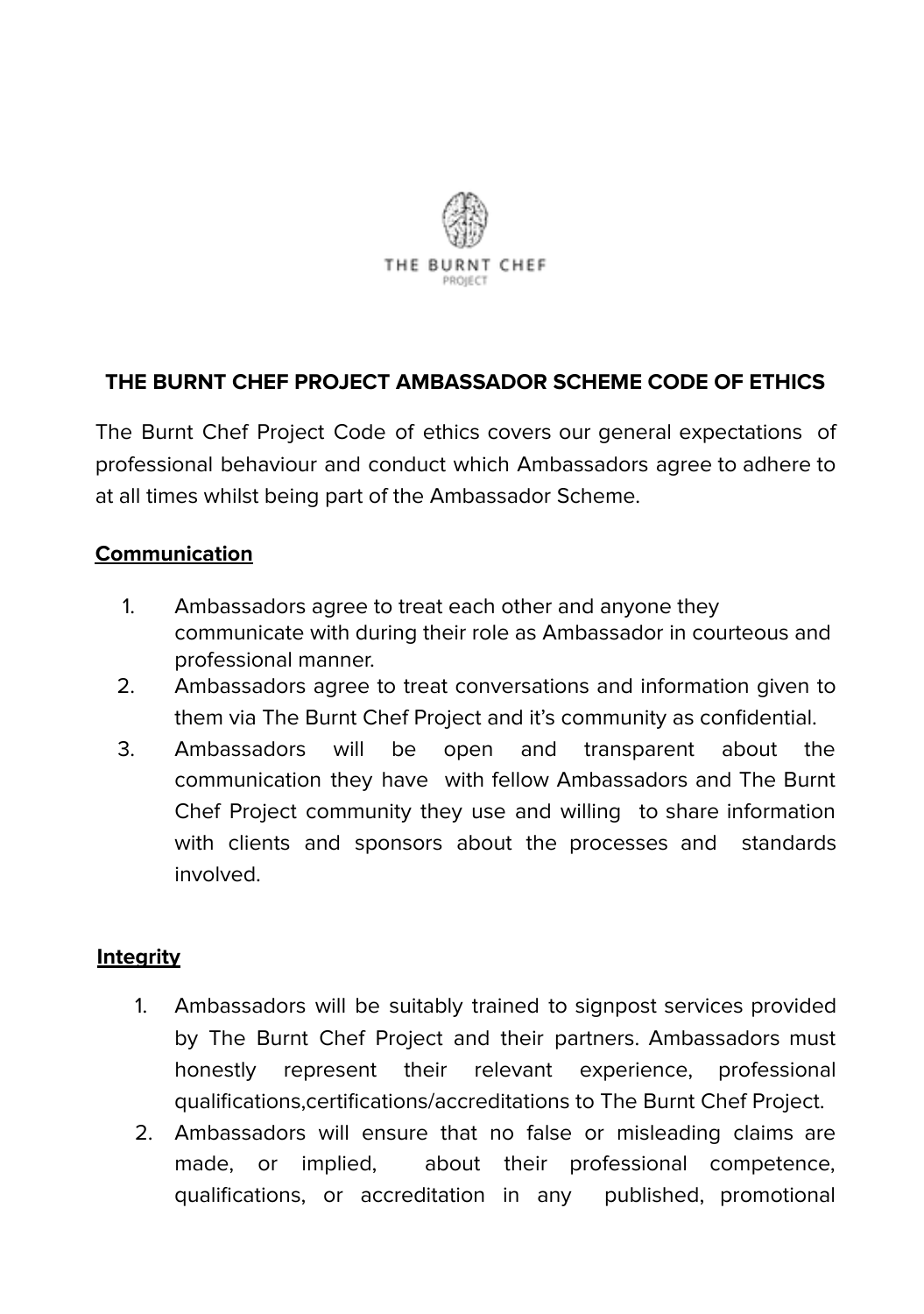

### **THE BURNT CHEF PROJECT AMBASSADOR SCHEME CODE OF ETHICS**

The Burnt Chef Project Code of ethics covers our general expectations of professional behaviour and conduct which Ambassadors agree to adhere to at all times whilst being part of the Ambassador Scheme.

#### **Communication**

- 1. Ambassadors agree to treat each other and anyone they communicate with during their role as Ambassador in courteous and professional manner.
- 2. Ambassadors agree to treat conversations and information given to them via The Burnt Chef Project and it's community as confidential.
- 3. Ambassadors will be open and transparent about the communication they have with fellow Ambassadors and The Burnt Chef Project community they use and willing to share information with clients and sponsors about the processes and standards involved.

#### **Integrity**

- 1. Ambassadors will be suitably trained to signpost services provided by The Burnt Chef Project and their partners. Ambassadors must honestly represent their relevant experience, professional qualifications,certifications/accreditations to The Burnt Chef Project.
- 2. Ambassadors will ensure that no false or misleading claims are made, or implied, about their professional competence, qualifications, or accreditation in any published, promotional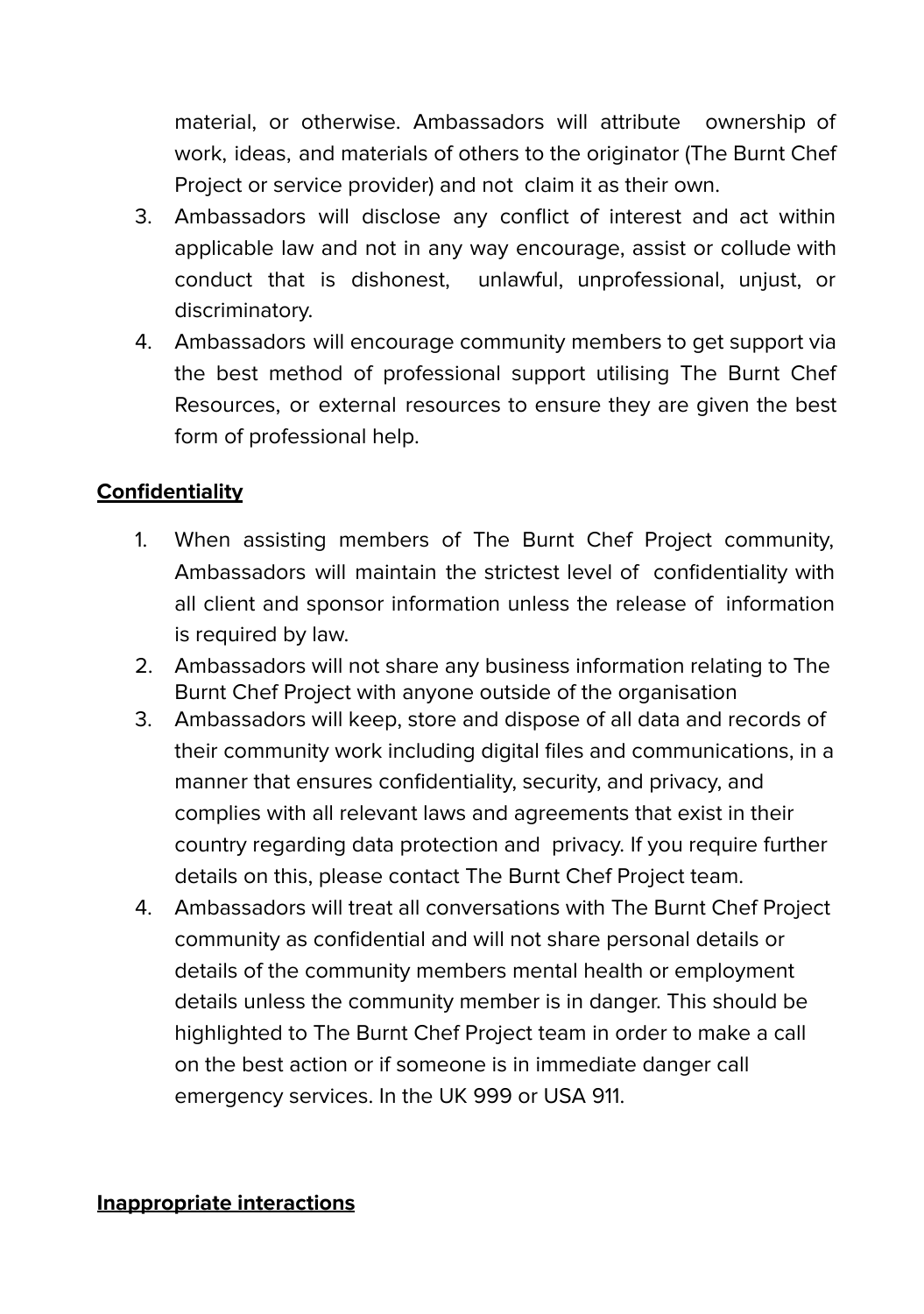material, or otherwise. Ambassadors will attribute ownership of work, ideas, and materials of others to the originator (The Burnt Chef Project or service provider) and not claim it as their own.

- 3. Ambassadors will disclose any conflict of interest and act within applicable law and not in any way encourage, assist or collude with conduct that is dishonest, unlawful, unprofessional, unjust, or discriminatory.
- 4. Ambassadors will encourage community members to get support via the best method of professional support utilising The Burnt Chef Resources, or external resources to ensure they are given the best form of professional help.

# **Confidentiality**

- 1. When assisting members of The Burnt Chef Project community, Ambassadors will maintain the strictest level of confidentiality with all client and sponsor information unless the release of information is required by law.
- 2. Ambassadors will not share any business information relating to The Burnt Chef Project with anyone outside of the organisation
- 3. Ambassadors will keep, store and dispose of all data and records of their community work including digital files and communications, in a manner that ensures confidentiality, security, and privacy, and complies with all relevant laws and agreements that exist in their country regarding data protection and privacy. If you require further details on this, please contact The Burnt Chef Project team.
- 4. Ambassadors will treat all conversations with The Burnt Chef Project community as confidential and will not share personal details or details of the community members mental health or employment details unless the community member is in danger. This should be highlighted to The Burnt Chef Project team in order to make a call on the best action or if someone is in immediate danger call emergency services. In the UK 999 or USA 911.

### **Inappropriate interactions**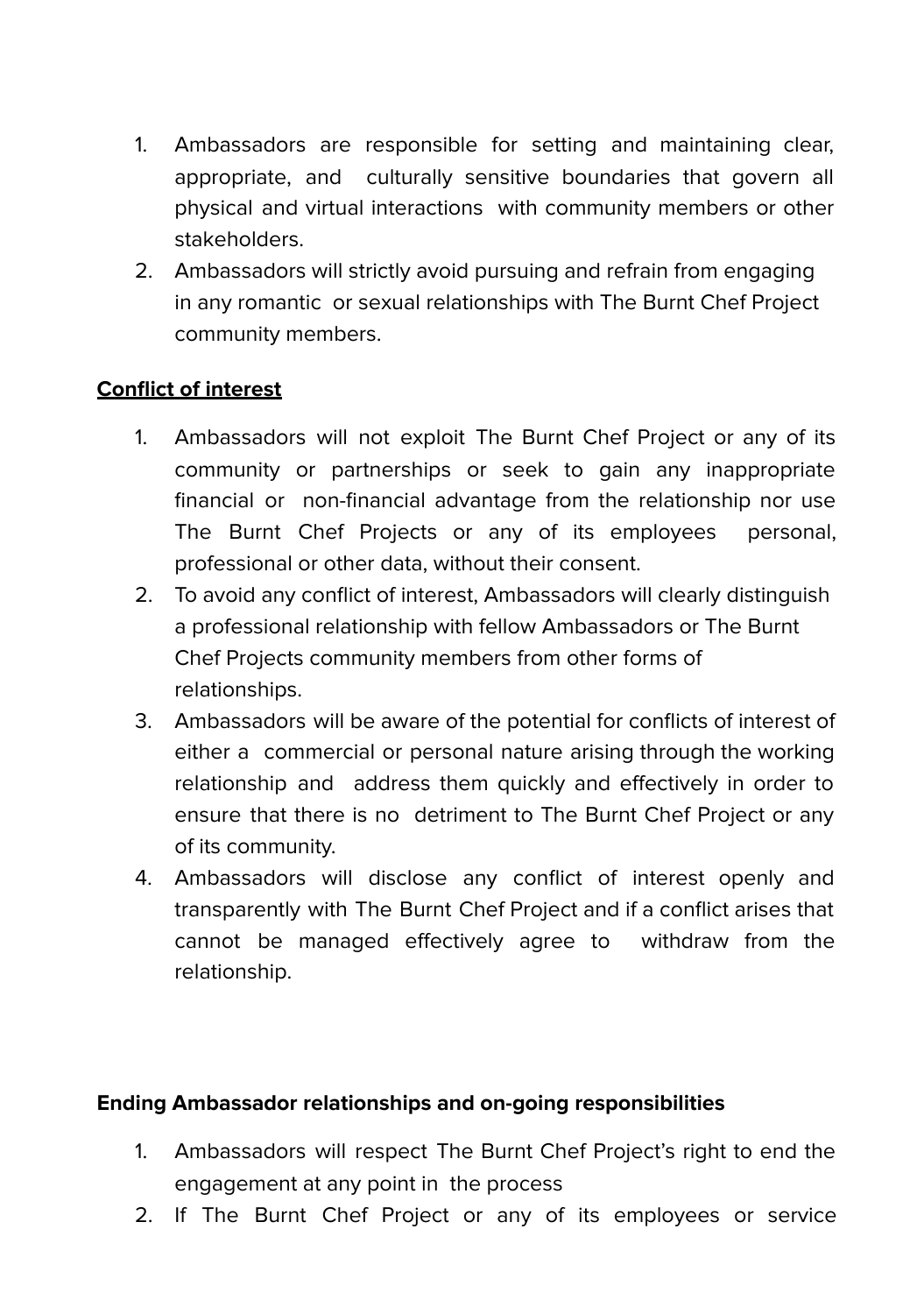- 1. Ambassadors are responsible for setting and maintaining clear, appropriate, and culturally sensitive boundaries that govern all physical and virtual interactions with community members or other stakeholders.
- 2. Ambassadors will strictly avoid pursuing and refrain from engaging in any romantic or sexual relationships with The Burnt Chef Project community members.

### **Conflict of interest**

- 1. Ambassadors will not exploit The Burnt Chef Project or any of its community or partnerships or seek to gain any inappropriate financial or non-financial advantage from the relationship nor use The Burnt Chef Projects or any of its employees personal, professional or other data, without their consent.
- 2. To avoid any conflict of interest, Ambassadors will clearly distinguish a professional relationship with fellow Ambassadors or The Burnt Chef Projects community members from other forms of relationships.
- 3. Ambassadors will be aware of the potential for conflicts of interest of either a commercial or personal nature arising through the working relationship and address them quickly and effectively in order to ensure that there is no detriment to The Burnt Chef Project or any of its community.
- 4. Ambassadors will disclose any conflict of interest openly and transparently with The Burnt Chef Project and if a conflict arises that cannot be managed effectively agree to withdraw from the relationship.

### **Ending Ambassador relationships and on-going responsibilities**

- 1. Ambassadors will respect The Burnt Chef Project's right to end the engagement at any point in the process
- 2. If The Burnt Chef Project or any of its employees or service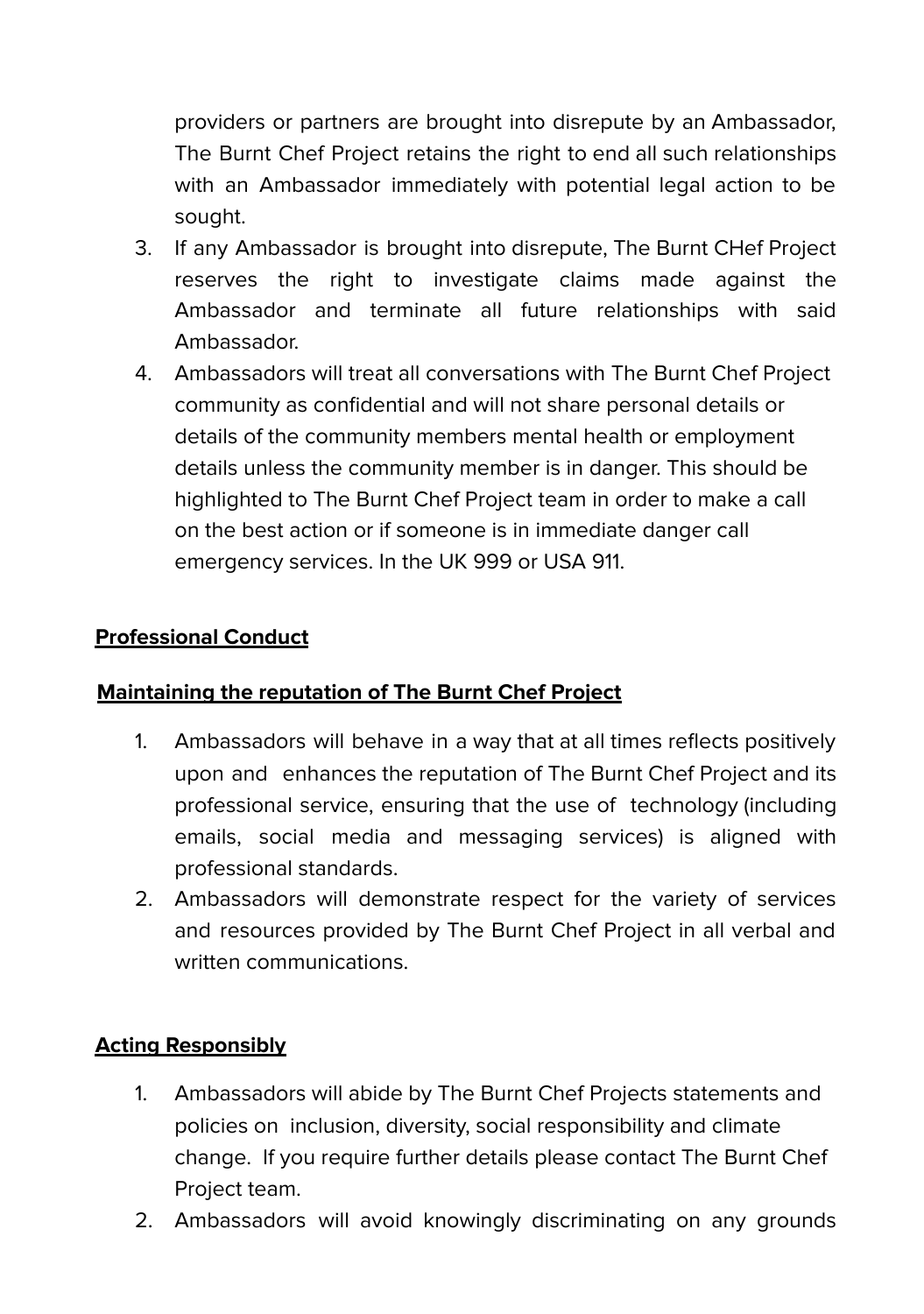providers or partners are brought into disrepute by an Ambassador, The Burnt Chef Project retains the right to end all such relationships with an Ambassador immediately with potential legal action to be sought.

- 3. If any Ambassador is brought into disrepute, The Burnt CHef Project reserves the right to investigate claims made against the Ambassador and terminate all future relationships with said Ambassador.
- 4. Ambassadors will treat all conversations with The Burnt Chef Project community as confidential and will not share personal details or details of the community members mental health or employment details unless the community member is in danger. This should be highlighted to The Burnt Chef Project team in order to make a call on the best action or if someone is in immediate danger call emergency services. In the UK 999 or USA 911.

# **Professional Conduct**

### **Maintaining the reputation of The Burnt Chef Project**

- 1. Ambassadors will behave in a way that at all times reflects positively upon and enhances the reputation of The Burnt Chef Project and its professional service, ensuring that the use of technology (including emails, social media and messaging services) is aligned with professional standards.
- 2. Ambassadors will demonstrate respect for the variety of services and resources provided by The Burnt Chef Project in all verbal and written communications.

# **Acting Responsibly**

- 1. Ambassadors will abide by The Burnt Chef Projects statements and policies on inclusion, diversity, social responsibility and climate change. If you require further details please contact The Burnt Chef Project team.
- 2. Ambassadors will avoid knowingly discriminating on any grounds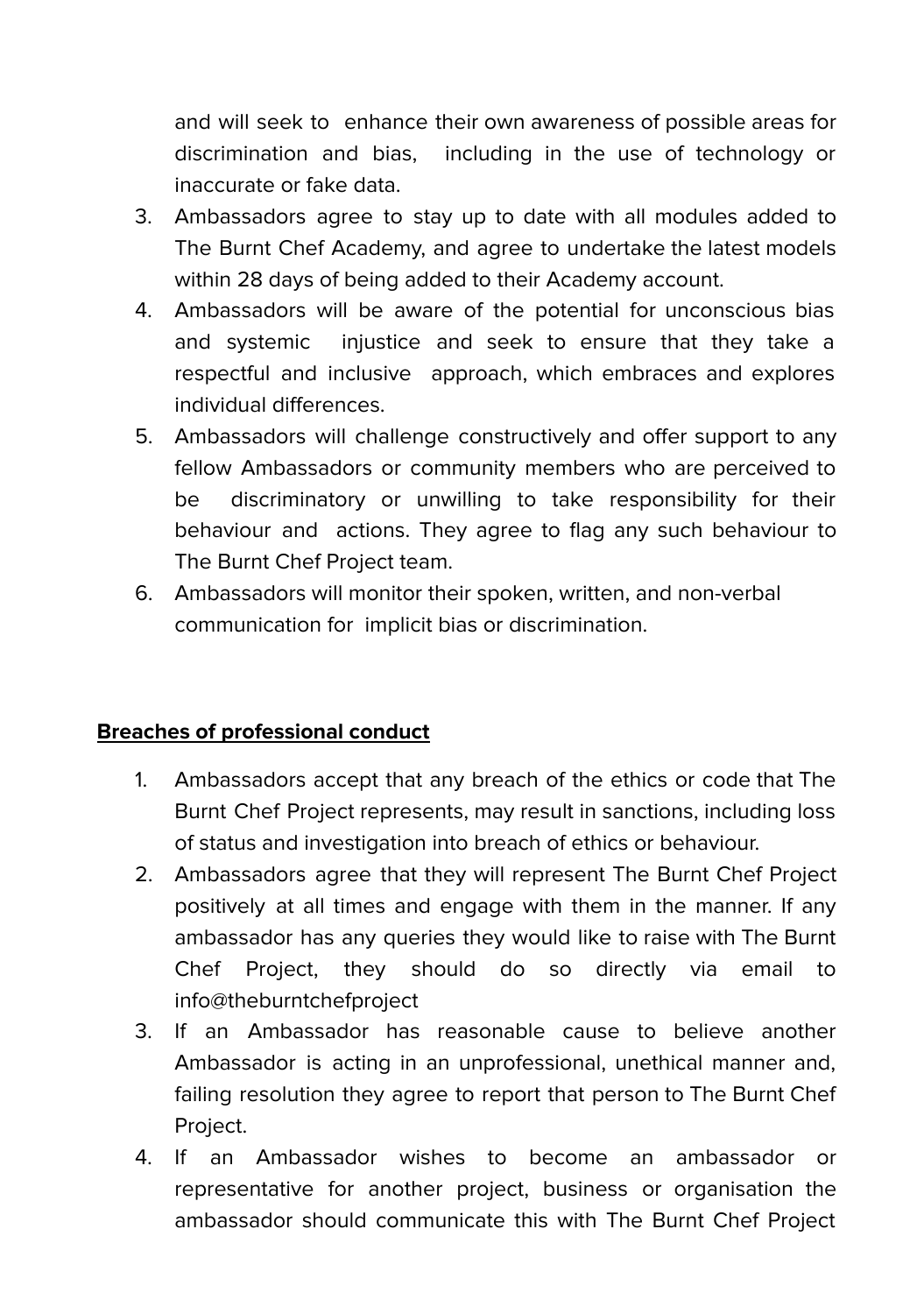and will seek to enhance their own awareness of possible areas for discrimination and bias, including in the use of technology or inaccurate or fake data.

- 3. Ambassadors agree to stay up to date with all modules added to The Burnt Chef Academy, and agree to undertake the latest models within 28 days of being added to their Academy account.
- 4. Ambassadors will be aware of the potential for unconscious bias and systemic injustice and seek to ensure that they take a respectful and inclusive approach, which embraces and explores individual differences.
- 5. Ambassadors will challenge constructively and offer support to any fellow Ambassadors or community members who are perceived to be discriminatory or unwilling to take responsibility for their behaviour and actions. They agree to flag any such behaviour to The Burnt Chef Project team.
- 6. Ambassadors will monitor their spoken, written, and non-verbal communication for implicit bias or discrimination.

### **Breaches of professional conduct**

- 1. Ambassadors accept that any breach of the ethics or code that The Burnt Chef Project represents, may result in sanctions, including loss of status and investigation into breach of ethics or behaviour.
- 2. Ambassadors agree that they will represent The Burnt Chef Project positively at all times and engage with them in the manner. If any ambassador has any queries they would like to raise with The Burnt Chef Project, they should do so directly via email to info@theburntchefproject
- 3. If an Ambassador has reasonable cause to believe another Ambassador is acting in an unprofessional, unethical manner and, failing resolution they agree to report that person to The Burnt Chef Project.
- 4. If an Ambassador wishes to become an ambassador or representative for another project, business or organisation the ambassador should communicate this with The Burnt Chef Project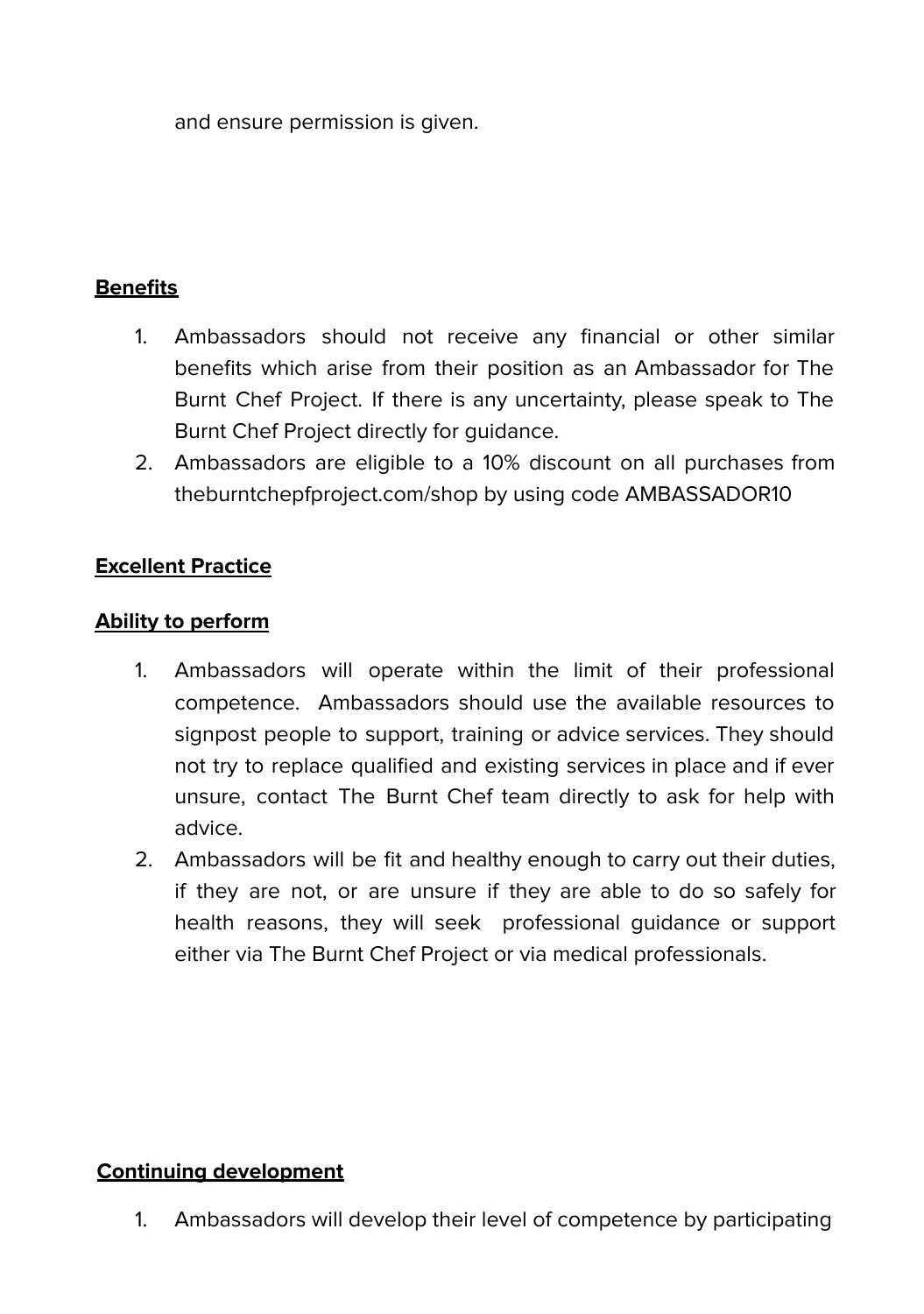and ensure permission is given.

### **Benefits**

- 1. Ambassadors should not receive any financial or other similar benefits which arise from their position as an Ambassador for The Burnt Chef Project. If there is any uncertainty, please speak to The Burnt Chef Project directly for guidance.
- 2. Ambassadors are eligible to a 10% discount on all purchases from theburntchepfproject.com/shop by using code AMBASSADOR10

### **Excellent Practice**

### **Ability to perform**

- 1. Ambassadors will operate within the limit of their professional competence. Ambassadors should use the available resources to signpost people to support, training or advice services. They should not try to replace qualified and existing services in place and if ever unsure, contact The Burnt Chef team directly to ask for help with advice.
- 2. Ambassadors will be fit and healthy enough to carry out their duties, if they are not, or are unsure if they are able to do so safely for health reasons, they will seek professional guidance or support either via The Burnt Chef Project or via medical professionals.

### **Continuing development**

1. Ambassadors will develop their level of competence by participating